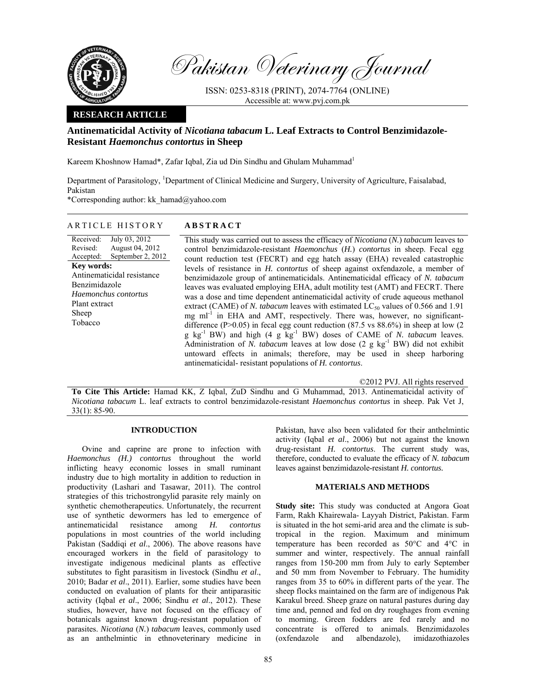

Pakistan Veterinary Journal

ISSN: 0253-8318 (PRINT), 2074-7764 (ONLINE) Accessible at: www.pvj.com.pk

### **RESEARCH ARTICLE**

# **Antinematicidal Activity of** *Nicotiana tabacum* **L. Leaf Extracts to Control Benzimidazole-Resistant** *Haemonchus contortus* **in Sheep**

Kareem Khoshnow Hamad\*, Zafar Iqbal, Zia ud Din Sindhu and Ghulam Muhammad<sup>1</sup>

Department of Parasitology, <sup>1</sup>Department of Clinical Medicine and Surgery, University of Agriculture, Faisalabad, Pakistan

\*Corresponding author: kk\_hamad@yahoo.com

### ARTICLE HISTORY **ABSTRACT**

Received: Revised: Accepted: July 03, 2012 August 04, 2012 September 2, 2012 **Key words:**  Antinematicidal resistance Benzimidazole *Haemonchus contortus*  Plant extract Sheep Tobacco

This study was carried out to assess the efficacy of *Nicotiana* (*N.*) *tabacum* leaves to control benzimidazole-resistant *Haemonchus* (*H.*) *contortus* in sheep. Fecal egg count reduction test (FECRT) and egg hatch assay (EHA) revealed catastrophic levels of resistance in *H. contortus* of sheep against oxfendazole, a member of benzimidazole group of antinematicidals. Antinematicidal efficacy of *N. tabacum* leaves was evaluated employing EHA, adult motility test (AMT) and FECRT. There was a dose and time dependent antinematicidal activity of crude aqueous methanol extract (CAME) of *N. tabacum* leaves with estimated  $\text{LC}_{50}$  values of 0.566 and 1.91 mg ml<sup>-1</sup> in EHA and AMT, respectively. There was, however, no significantdifference (P>0.05) in fecal egg count reduction (87.5 vs 88.6%) in sheep at low (2) g kg-1 BW) and high (4 g kg-1 BW) doses of CAME of *N. tabacum* leaves. Administration of *N. tabacum* leaves at low dose (2 g kg<sup>-1</sup> BW) did not exhibit untoward effects in animals; therefore, may be used in sheep harboring antinematicidal- resistant populations of *H. contortus*.

©2012 PVJ. All rights reserved

**To Cite This Article:** Hamad KK, Z Iqbal, ZuD Sindhu and G Muhammad, 2013. Antinematicidal activity of *Nicotiana tabacum* L. leaf extracts to control benzimidazole-resistant *Haemonchus contortus* in sheep. Pak Vet J, 33(1): 85-90.

# **INTRODUCTION**

Ovine and caprine are prone to infection with *Haemonchus (H.) contortus* throughout the world inflicting heavy economic losses in small ruminant industry due to high mortality in addition to reduction in productivity (Lashari and Tasawar, 2011). The control strategies of this trichostrongylid parasite rely mainly on synthetic chemotherapeutics. Unfortunately, the recurrent use of synthetic dewormers has led to emergence of antinematicidal resistance among *H. contortus* populations in most countries of the world including Pakistan (Saddiqi *et al*., 2006). The above reasons have encouraged workers in the field of parasitology to investigate indigenous medicinal plants as effective substitutes to fight parasitism in livestock (Sindhu *et al*., 2010; Badar *et al*., 2011). Earlier, some studies have been conducted on evaluation of plants for their antiparasitic activity (Iqbal *et al*., 2006; Sindhu *et al*., 2012). These studies, however, have not focused on the efficacy of botanicals against known drug-resistant population of parasites. *Nicotiana* (*N.*) *tabacum* leaves, commonly used as an anthelmintic in ethnoveterinary medicine in

Pakistan, have also been validated for their anthelmintic activity (Iqbal *et al*., 2006) but not against the known drug-resistant *H. contortus*. The current study was, therefore, conducted to evaluate the efficacy of *N. tabacum* leaves against benzimidazole-resistant *H. contortus.*

## **MATERIALS AND METHODS**

**Study site:** This study was conducted at Angora Goat Farm, Rakh Khairewala- Layyah District, Pakistan. Farm is situated in the hot semi-arid area and the climate is subtropical in the region. Maximum and minimum temperature has been recorded as 50°C and 4°C in summer and winter, respectively. The annual rainfall ranges from 150-200 mm from July to early September and 50 mm from November to February. The humidity ranges from 35 to 60% in different parts of the year. The sheep flocks maintained on the farm are of indigenous Pak Karakul breed. Sheep graze on natural pastures during day time and, penned and fed on dry roughages from evening to morning. Green fodders are fed rarely and no concentrate is offered to animals. Benzimidazoles (oxfendazole and albendazole), imidazothiazoles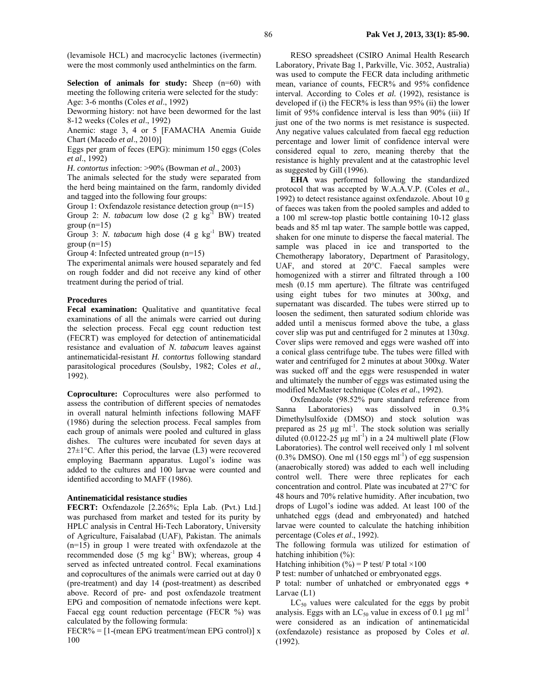(levamisole HCL) and macrocyclic lactones (ivermectin) were the most commonly used anthelmintics on the farm.

**Selection of animals for study:** Sheep (n=60) with meeting the following criteria were selected for the study: Age: 3-6 months (Coles *et al*., 1992)

Deworming history: not have been dewormed for the last 8-12 weeks (Coles *et al*., 1992)

Anemic: stage 3, 4 or 5 [FAMACHA Anemia Guide Chart (Macedo *et al*., 2010)]

Eggs per gram of feces (EPG): minimum 150 eggs (Coles *et al*., 1992)

*H. contortus* infection: >90% (Bowman *et al*., 2003)

The animals selected for the study were separated from the herd being maintained on the farm, randomly divided and tagged into the following four groups:

Group 1: Oxfendazole resistance detection group (n=15)

Group 2: *N. tabacum* low dose (2 g kg<sup>-1</sup> BW) treated group  $(n=15)$ 

Group 3: *N. tabacum* high dose (4 g kg<sup>-1</sup> BW) treated group  $(n=15)$ 

Group 4: Infected untreated group (n=15)

The experimental animals were housed separately and fed on rough fodder and did not receive any kind of other treatment during the period of trial.

#### **Procedures**

Fecal examination: Qualitative and quantitative fecal examinations of all the animals were carried out during the selection process. Fecal egg count reduction test (FECRT) was employed for detection of antinematicidal resistance and evaluation of *N. tabacum* leaves against antinematicidal-resistant *H. contortus* following standard parasitological procedures (Soulsby, 1982; Coles *et al.,* 1992).

**Coproculture:** Coprocultures were also performed to assess the contribution of different species of nematodes in overall natural helminth infections following MAFF (1986) during the selection process. Fecal samples from each group of animals were pooled and cultured in glass dishes. The cultures were incubated for seven days at  $27\pm1\degree$ C. After this period, the larvae (L3) were recovered employing Baermann apparatus. Lugol's iodine was added to the cultures and 100 larvae were counted and identified according to MAFF (1986).

#### **Antinematicidal resistance studies**

**FECRT:** Oxfendazole [2.265%; Epla Lab. (Pvt.) Ltd.] was purchased from market and tested for its purity by HPLC analysis in Central Hi-Tech Laboratory, University of Agriculture, Faisalabad (UAF), Pakistan. The animals (n=15) in group 1 were treated with oxfendazole at the recommended dose (5 mg kg<sup>-1</sup> BW); whereas, group 4 served as infected untreated control. Fecal examinations and coprocultures of the animals were carried out at day 0 (pre-treatment) and day 14 (post-treatment) as described above. Record of pre- and post oxfendazole treatment EPG and composition of nematode infections were kept. Faecal egg count reduction percentage (FECR %) was calculated by the following formula:

 $FECR\% = [1-(mean EPG treatment/mean EPG control)]$  x 100

RESO spreadsheet (CSIRO Animal Health Research Laboratory, Private Bag 1, Parkville, Vic. 3052, Australia) was used to compute the FECR data including arithmetic mean, variance of counts, FECR% and 95% confidence interval. According to Coles *et al.* (1992), resistance is developed if (i) the FECR% is less than 95% (ii) the lower limit of 95% confidence interval is less than 90% (iii) If just one of the two norms is met resistance is suspected. Any negative values calculated from faecal egg reduction percentage and lower limit of confidence interval were considered equal to zero, meaning thereby that the resistance is highly prevalent and at the catastrophic level as suggested by Gill (1996).

**EHA** was performed following the standardized protocol that was accepted by W.A.A.V.P. (Coles *et al*., 1992) to detect resistance against oxfendazole. About 10 g of faeces was taken from the pooled samples and added to a 100 ml screw-top plastic bottle containing 10-12 glass beads and 85 ml tap water. The sample bottle was capped, shaken for one minute to disperse the faecal material. The sample was placed in ice and transported to the Chemotherapy laboratory, Department of Parasitology, UAF, and stored at 20°C. Faecal samples were homogenized with a stirrer and filtrated through a 100 mesh (0.15 mm aperture). The filtrate was centrifuged using eight tubes for two minutes at 300х*g*, and supernatant was discarded. The tubes were stirred up to loosen the sediment, then saturated sodium chloride was added until a meniscus formed above the tube, a glass cover slip was put and centrifuged for 2 minutes at 130х*g*. Cover slips were removed and eggs were washed off into a conical glass centrifuge tube. The tubes were filled with water and centrifuged for 2 minutes at about 300х*g*. Water was sucked off and the eggs were resuspended in water and ultimately the number of eggs was estimated using the modified McMaster technique (Coles *et al*., 1992).

Oxfendazole (98.52% pure standard reference from Sanna Laboratories) was dissolved in 0.3% Dimethylsulfoxide (DMSO) and stock solution was prepared as  $25 \mu g$  ml<sup>-1</sup>. The stock solution was serially diluted (0.0122-25  $\mu$ g ml<sup>-1</sup>) in a 24 multiwell plate (Flow Laboratories). The control well received only 1 ml solvent  $(0.3\%$  DMSO). One ml  $(150 \text{ eggs ml}^{-1})$  of egg suspension (anaerobically stored) was added to each well including control well. There were three replicates for each concentration and control. Plate was incubated at 27°C for 48 hours and 70% relative humidity. After incubation, two drops of Lugol's iodine was added. At least 100 of the unhatched eggs (dead and embryonated) and hatched larvae were counted to calculate the hatching inhibition percentage (Coles *et al*., 1992).

The following formula was utilized for estimation of hatching inhibition  $(\%)$ :

Hatching inhibition (%) = P test/ P total  $\times 100$ 

P test: number of unhatched or embryonated eggs.

P total: number of unhatched or embryonated eggs **+**  Larvae (L1)

 $LC_{50}$  values were calculated for the eggs by probit analysis. Eggs with an  $LC_{50}$  value in excess of 0.1 µg ml<sup>-1</sup> were considered as an indication of antinematicidal (oxfendazole) resistance as proposed by Coles *et al*. (1992).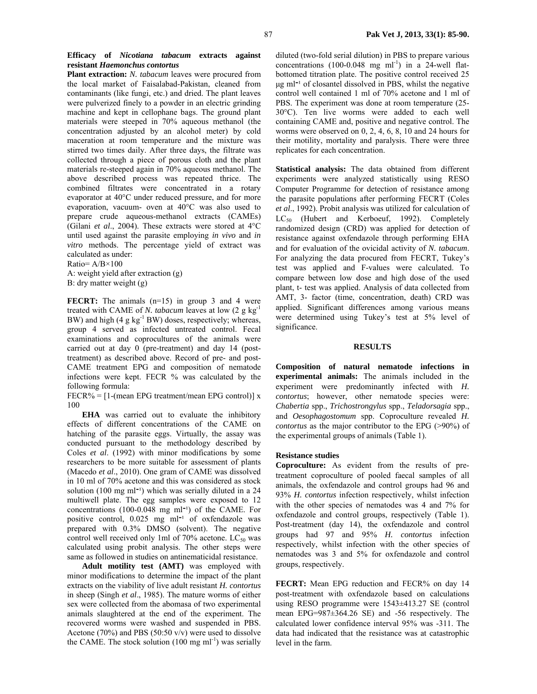**Efficacy of** *Nicotiana tabacum* **extracts against resistant** *Haemonchus contortus*

**Plant extraction:** *N. tabacum* leaves were procured from the local market of Faisalabad-Pakistan, cleaned from contaminants (like fungi, etc.) and dried. The plant leaves were pulverized finely to a powder in an electric grinding machine and kept in cellophane bags. The ground plant materials were steeped in 70% aqueous methanol (the concentration adjusted by an alcohol meter) by cold maceration at room temperature and the mixture was stirred two times daily. After three days, the filtrate was collected through a piece of porous cloth and the plant materials re-steeped again in 70% aqueous methanol. The above described process was repeated thrice. The combined filtrates were concentrated in a rotary evaporator at 40°C under reduced pressure, and for more evaporation, vacuum- oven at 40°C was also used to prepare crude aqueous-methanol extracts (CAMEs) (Gilani *et al*., 2004). These extracts were stored at 4°C until used against the parasite employing *in vivo* and *in vitro* methods. The percentage yield of extract was calculated as under:

Ratio= A/B×100

A: weight yield after extraction (g) B: dry matter weight (g)

**FECRT:** The animals (n=15) in group 3 and 4 were treated with CAME of *N. tabacum* leaves at low (2 g kg-1 BW) and high (4 g kg<sup>-1</sup> BW) doses, respectively; whereas, group 4 served as infected untreated control. Fecal examinations and coprocultures of the animals were carried out at day 0 (pre-treatment) and day 14 (posttreatment) as described above. Record of pre- and post-CAME treatment EPG and composition of nematode infections were kept. FECR % was calculated by the following formula:

 $FECR\% = [1-(mean EPG treatment/mean EPG control)]$  x 100

**EHA** was carried out to evaluate the inhibitory effects of different concentrations of the CAME on hatching of the parasite eggs. Virtually, the assay was conducted pursuant to the methodology described by Coles *et al*. (1992) with minor modifications by some researchers to be more suitable for assessment of plants (Macedo *et al*., 2010). One gram of CAME was dissolved in 10 ml of 70% acetone and this was considered as stock solution (100 mg ml<sup>-1</sup>) which was serially diluted in a  $24$ multiwell plate. The egg samples were exposed to 12 concentrations  $(100-0.048 \text{ mg ml}^{-1})$  of the CAME. For positive control,  $0.025$  mg ml<sup>-1</sup> of oxfendazole was prepared with 0.3% DMSO (solvent). The negative control well received only 1ml of 70% acetone.  $LC_{50}$  was calculated using probit analysis. The other steps were same as followed in studies on antinematicidal resistance.

**Adult motility test (AMT)** was employed with minor modifications to determine the impact of the plant extracts on the viability of live adult resistant *H. contortus* in sheep (Singh *et al*., 1985). The mature worms of either sex were collected from the abomasa of two experimental animals slaughtered at the end of the experiment. The recovered worms were washed and suspended in PBS. Acetone (70%) and PBS (50:50 v/v) were used to dissolve the CAME. The stock solution  $(100 \text{ mg ml}^{-1})$  was serially

diluted (two-fold serial dilution) in PBS to prepare various concentrations  $(100-0.048 \text{ mg ml}^{-1})$  in a 24-well flatbottomed titration plate. The positive control received 25  $\mu$ g ml<sup> $-1$ </sup> of closantel dissolved in PBS, whilst the negative control well contained 1 ml of 70% acetone and 1 ml of PBS. The experiment was done at room temperature (25- 30°C). Ten live worms were added to each well containing CAME and, positive and negative control. The worms were observed on 0, 2, 4, 6, 8, 10 and 24 hours for their motility, mortality and paralysis. There were three replicates for each concentration.

**Statistical analysis:** The data obtained from different experiments were analyzed statistically using RESO Computer Programme for detection of resistance among the parasite populations after performing FECRT (Coles *et al*., 1992). Probit analysis was utilized for calculation of  $LC_{50}$  (Hubert and Kerboeuf, 1992). Completely randomized design (CRD) was applied for detection of resistance against oxfendazole through performing EHA and for evaluation of the ovicidal activity of *N. tabacum*. For analyzing the data procured from FECRT, Tukey's test was applied and F-values were calculated. To compare between low dose and high dose of the used plant, t- test was applied. Analysis of data collected from AMT, 3- factor (time, concentration, death) CRD was applied. Significant differences among various means were determined using Tukey's test at 5% level of significance.

#### **RESULTS**

**Composition of natural nematode infections in experimental animals:** The animals included in the experiment were predominantly infected with *H. contortus*; however, other nematode species were: *Chabertia* spp., *Trichostrongylus* spp., *Teladorsagia* spp., and *Oesophagostomum* spp. Coproculture revealed *H. contortus* as the major contributor to the EPG (>90%) of the experimental groups of animals (Table 1).

#### **Resistance studies**

**Coproculture:** As evident from the results of pretreatment coproculture of pooled faecal samples of all animals, the oxfendazole and control groups had 96 and 93% *H. contortus* infection respectively, whilst infection with the other species of nematodes was 4 and 7% for oxfendazole and control groups, respectively (Table 1). Post-treatment (day 14), the oxfendazole and control groups had 97 and 95% *H. contortus* infection respectively, whilst infection with the other species of nematodes was 3 and 5% for oxfendazole and control groups, respectively.

**FECRT:** Mean EPG reduction and FECR% on day 14 post-treatment with oxfendazole based on calculations using RESO programme were 1543±413.27 SE (control mean EPG=987±364.26 SE) and -56 respectively. The calculated lower confidence interval 95% was -311. The data had indicated that the resistance was at catastrophic level in the farm.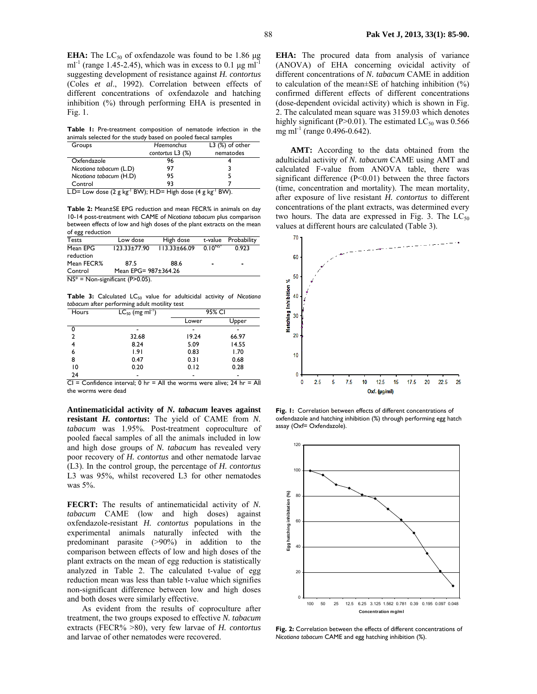**Table 1:** Pre-treatment composition of nematode infection in the animals selected for the study based on pooled faecal samples

| Groups                  | <b>Haemonchus</b>  | $L3$ $(\%)$ of other |  |
|-------------------------|--------------------|----------------------|--|
|                         | contortus $L3$ (%) | nematodes            |  |
| Oxfendazole             | 96                 |                      |  |
| Nicotiana tabacum (L.D) | 97                 |                      |  |
| Nicotiana tabacum (H.D) | 95                 |                      |  |
| Control                 | 93                 |                      |  |
| $-$<br>$\sim$           | _________<br>.     | $\cdots$<br>.        |  |

L.D= Low dose  $(2 g kg<sup>-1</sup> BW)$ ; H.D= High dose  $(4 g kg<sup>-1</sup> BW)$ .

**Table 2:** Mean±SE EPG reduction and mean FECR% in animals on day 10-14 post-treatment with CAME of *Nicotiana tabacum* plus comparison between effects of low and high doses of the plant extracts on the mean of egg reduction

| <b>Tests</b>                       | Low dose             | High dose          |                | t-value Probability |  |  |
|------------------------------------|----------------------|--------------------|----------------|---------------------|--|--|
| Mean EPG<br>reduction              | $123.33 \pm 77.90$   | $113.33 \pm 66.09$ | $0.10^{N5*}$   | 0.923               |  |  |
| Mean FECR%                         | 87.5                 | 88.6               | $\blacksquare$ | $\blacksquare$      |  |  |
| Control                            | Mean EPG= 987±364.26 |                    |                |                     |  |  |
| $NS^*$ = Non-significant (P>0.05). |                      |                    |                |                     |  |  |

Table 3: Calculated LC<sub>50</sub> value for adulticidal activity of Nicotiana *tabacum* after performing adult motility test

| Hours          | $LC_{50}$ (mg ml <sup>-1</sup> ) | 95% CI |                          |
|----------------|----------------------------------|--------|--------------------------|
|                |                                  | Lower  | Upper                    |
| 0              |                                  |        |                          |
| $\overline{2}$ | 32.68                            | 19.24  | 66.97                    |
| 4              | 8.24                             | 5.09   | 14.55                    |
| 6              | 1.91                             | 0.83   | 1.70                     |
| 8              | 0.47                             | 0.31   | 0.68                     |
| 10             | 0.20                             | 0.12   | 0.28                     |
| 24             |                                  |        | $\overline{\phantom{0}}$ |

 $CI = Confidence interval$ ; 0 hr = All the worms were alive; 24 hr = All the worms were dead

**Antinematicidal activity of** *N. tabacum* **leaves against resistant** *H. contortus***:** The yield of CAME from *N. tabacum* was 1.95%. Post-treatment coproculture of pooled faecal samples of all the animals included in low and high dose groups of *N. tabacum* has revealed very poor recovery of *H. contortus* and other nematode larvae (L3). In the control group, the percentage of *H. contortus*  L3 was 95%, whilst recovered L3 for other nematodes was 5%.

**FECRT:** The results of antinematicidal activity of *N. tabacum* CAME (low and high doses) against oxfendazole-resistant *H. contortus* populations in the experimental animals naturally infected with the predominant parasite (>90%) in addition to the comparison between effects of low and high doses of the plant extracts on the mean of egg reduction is statistically analyzed in Table 2. The calculated t-value of egg reduction mean was less than table t-value which signifies non-significant difference between low and high doses and both doses were similarly effective.

As evident from the results of coproculture after treatment, the two groups exposed to effective *N. tabacum* extracts (FECR% >80), very few larvae of *H. contortus*  and larvae of other nematodes were recovered.

**EHA:** The procured data from analysis of variance (ANOVA) of EHA concerning ovicidal activity of different concentrations of *N. tabacum* CAME in addition to calculation of the mean $\pm$ SE of hatching inhibition  $(\%)$ confirmed different effects of different concentrations (dose-dependent ovicidal activity) which is shown in Fig. 2. The calculated mean square was 3159.03 which denotes highly significant (P>0.01). The estimated  $LC_{50}$  was 0.566 mg ml<sup>-1</sup> (range 0.496-0.642).

**AMT:** According to the data obtained from the adulticidal activity of *N. tabacum* CAME using AMT and calculated F-value from ANOVA table, there was significant difference (P<0.01) between the three factors (time, concentration and mortality). The mean mortality, after exposure of live resistant *H. contortus* to different concentrations of the plant extracts, was determined every two hours. The data are expressed in Fig. 3. The  $LC_{50}$ values at different hours are calculated (Table 3).



**Fig. 1:** Correlation between effects of different concentrations of oxfendazole and hatching inhibition (%) through performing egg hatch assay (Oxf= Oxfendazole).



**Fig. 2:** Correlation between the effects of different concentrations of *Nicotiana tabacum* CAME and egg hatching inhibition (%).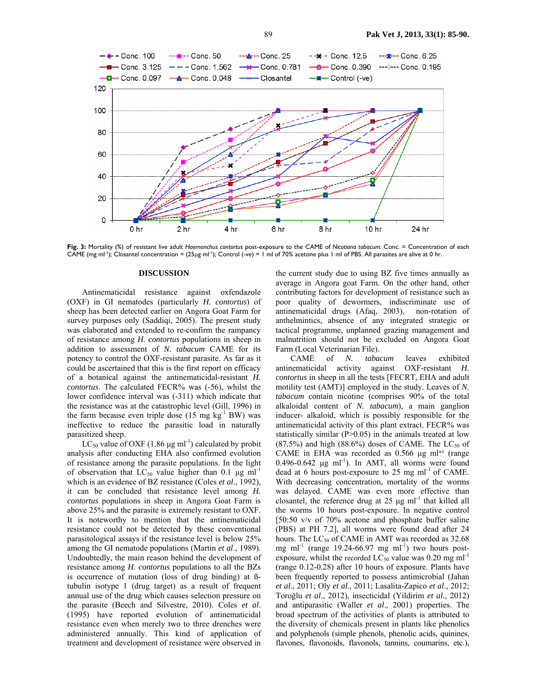

**Fig. 3:** Mortality (%) of resistant live adult *Haemonchus contortus* post-exposure to the CAME of *Nicotiana tabacum.* Conc. = Concentration of each CAME (mg ml<sup>-1</sup>); Closantel concentration =  $(25\mu g$  ml<sup>-1</sup>); Control (-ve) = 1 ml of 70% acetone plus 1 ml of PBS. All parasites are alive at 0 hr.

#### **DISCUSSION**

Antinematicidal resistance against oxfendazole (OXF) in GI nematodes (particularly *H. contortus*) of sheep has been detected earlier on Angora Goat Farm for survey purposes only (Saddiqi, 2005). The present study was elaborated and extended to re-confirm the rampancy of resistance among *H. contortus* populations in sheep in addition to assessment of *N. tabacum* CAME for its potency to control the OXF-resistant parasite. As far as it could be ascertained that this is the first report on efficacy of a botanical against the antinematicidal-resistant *H. contortus*. The calculated FECR% was (-56), whilst the lower confidence interval was (-311) which indicate that the resistance was at the catastrophic level (Gill, 1996) in the farm because even triple dose  $(15 \text{ mg kg}^{-1} \text{BW})$  was ineffective to reduce the parasitic load in naturally parasitized sheep.

LC<sub>50</sub> value of OXF (1.86  $\mu$ g ml<sup>-1</sup>) calculated by probit analysis after conducting EHA also confirmed evolution of resistance among the parasite populations. In the light of observation that  $LC_{50}$  value higher than 0.1 µg ml<sup>-1</sup> which is an evidence of BZ resistance (Coles *et al*., 1992), it can be concluded that resistance level among *H. contortus* populations in sheep in Angora Goat Farm is above 25% and the parasite is extremely resistant to OXF. It is noteworthy to mention that the antinematicidal resistance could not be detected by these conventional parasitological assays if the resistance level is below 25% among the GI nematode populations (Martin *et al*., 1989). Undoubtedly, the main reason behind the development of resistance among *H. contortus* populations to all the BZs is occurrence of mutation (loss of drug binding) at ßtubulin isotype 1 (drug target) as a result of frequent annual use of the drug which causes selection pressure on the parasite (Beech and Silvestre, 2010). Coles *et al*. (1995) have reported evolution of antinematicidal resistance even when merely two to three drenches were administered annually. This kind of application of treatment and development of resistance were observed in

the current study due to using BZ five times annually as average in Angora goat Farm. On the other hand, other contributing factors for development of resistance such as poor quality of dewormers, indiscriminate use of antinematicidal drugs (Afaq, 2003), non-rotation of anthelmintics, absence of any integrated strategic or tactical programme, unplanned grazing management and malnutrition should not be excluded on Angora Goat Farm (Local Veterinarian File).

CAME of *N. tabacum* leaves exhibited antinematicidal activity against OXF-resistant *H. contortus* in sheep in all the tests [FECRT, EHA and adult motility test (AMT)] employed in the study. Leaves of *N. tabacum* contain nicotine (comprises 90% of the total alkaloidal content of *N. tabacum*), a main ganglion inducer- alkaloid, which is possibly responsible for the antinematicidal activity of this plant extract. FECR% was statistically similar  $(P>0.05)$  in the animals treated at low  $(87.5\%)$  and high  $(88.6\%)$  doses of CAME. The LC<sub>50</sub> of CAME in EHA was recorded as  $0.566 \mu g$  ml<sup>-1</sup> (range  $0.496 - 0.642$  µg ml<sup>-1</sup>). In AMT, all worms were found dead at 6 hours post-exposure to 25 mg  $ml^{-1}$  of CAME. With decreasing concentration, mortality of the worms was delayed. CAME was even more effective than closantel, the reference drug at  $25 \mu g$  ml<sup>-1</sup> that killed all the worms 10 hours post-exposure. In negative control [50:50 v/v of 70% acetone and phosphate buffer saline (PBS) at PH 7.2], all worms were found dead after 24 hours. The  $LC_{50}$  of CAME in AMT was recorded as 32.68 mg ml<sup>-1</sup> (range 19.24-66.97 mg ml<sup>-1</sup>) two hours postexposure, whilst the recorded  $LC_{50}$  value was 0.20 mg ml<sup>-1</sup> (range 0.12-0.28) after 10 hours of exposure. Plants have been frequently reported to possess antimicrobial (Jahan *et al*., 2011; Oly *et al.,* 2011; Lasalita-Zapico *et al*., 2012; Toroğlu *et al*., 2012), insecticidal (Yildirim *et al.,* 2012) and antiparasitic (Waller *et al*., 2001) properties. The broad spectrum of the activities of plants is attributed to the diversity of chemicals present in plants like phenolics and polyphenols (simple phenols, phenolic acids, quinines, flavones, flavonoids, flavonols, tannins, coumarins, etc.),